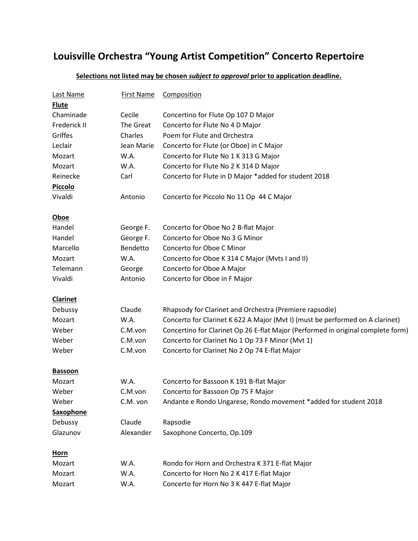## **Louisville Orchestra "Young Artist Competition" Concerto Repertoire**

| <b>Last Name</b> | First Name | Composition                                                                      |
|------------------|------------|----------------------------------------------------------------------------------|
| <b>Flute</b>     |            |                                                                                  |
| Chaminade        | Cecile     | Concertino for Flute Op 107 D Major                                              |
| Frederick II     | The Great  | Concerto for Flute No 4 D Major                                                  |
| Griffes          | Charles    | Poem for Flute and Orchestra                                                     |
| Leclair          | Jean Marie | Concerto for Flute (or Oboe) in C Major                                          |
| Mozart           | W.A.       | Concerto for Flute No 1 K 313 G Major                                            |
| Mozart           | W.A.       | Concerto for Flute No 2 K 314 D Major                                            |
| Reinecke         | Carl       | Concerto for Flute in D Major *added for student 2018                            |
| <b>Piccolo</b>   |            |                                                                                  |
| Vivaldi          | Antonio    | Concerto for Piccolo No 11 Op 44 C Major                                         |
| Oboe             |            |                                                                                  |
| Handel           | George F.  | Concerto for Oboe No 2 B-flat Major                                              |
| Handel           | George F.  | Concerto for Oboe No 3 G Minor                                                   |
| Marcello         | Bendetto   | Concerto for Oboe C Minor                                                        |
| Mozart           | W.A.       | Concerto for Oboe K 314 C Major (Mvts I and II)                                  |
| Telemann         | George     | Concerto for Oboe A Major                                                        |
| Vivaldi          | Antonio    | Concerto for Oboe in F Major                                                     |
| <b>Clarinet</b>  |            |                                                                                  |
| Debussy          | Claude     | Rhapsody for Clarinet and Orchestra (Premiere rapsodie)                          |
| Mozart           | W.A.       | Concerto for Clarinet K 622 A Major (Mvt I) (must be performed on A clarinet)    |
| Weber            | C.M.von    | Concertino for Clarinet Op 26 E-flat Major (Performed in original complete form) |
| Weber            | C.M.von    | Concerto for Clarinet No 1 Op 73 F Minor (Mvt 1)                                 |
| Weber            | C.M.von    | Concerto for Clarinet No 2 Op 74 E-flat Major                                    |
| <b>Bassoon</b>   |            |                                                                                  |
| Mozart           | W.A.       | Concerto for Bassoon K 191 B-flat Major                                          |
| Weber            | C.M.von    | Concerto for Bassoon Op 75 F Major                                               |
| Weber            | C.M. von   | Andante e Rondo Ungarese, Rondo movement *added for student 2018                 |
| <b>Saxophone</b> |            |                                                                                  |
| Debussy          | Claude     | Rapsodie                                                                         |
| Glazunov         | Alexander  | Saxophone Concerto, Op.109                                                       |
| <b>Horn</b>      |            |                                                                                  |
| Mozart           | W.A.       | Rondo for Horn and Orchestra K 371 E-flat Major                                  |
| Mozart           | W.A.       | Concerto for Horn No 2 K 417 E-flat Major                                        |
| Mozart           | W.A.       | Concerto for Horn No 3 K 447 E-flat Major                                        |

## **Selections not listed may be chosen** *subject to approval* **prior to application deadline.**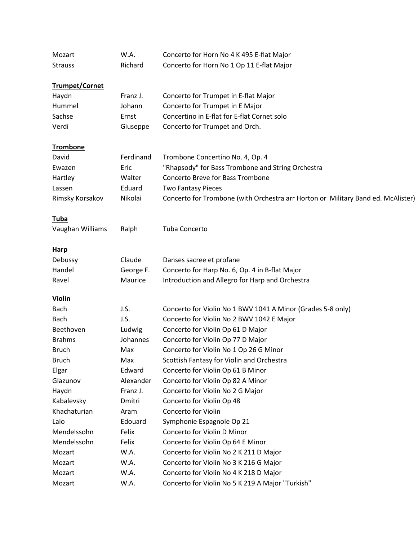| Mozart                | W.A.      | Concerto for Horn No 4 K 495 E-flat Major                                        |
|-----------------------|-----------|----------------------------------------------------------------------------------|
| <b>Strauss</b>        | Richard   | Concerto for Horn No 1 Op 11 E-flat Major                                        |
| <b>Trumpet/Cornet</b> |           |                                                                                  |
| Haydn                 | Franz J.  | Concerto for Trumpet in E-flat Major                                             |
| Hummel                | Johann    | Concerto for Trumpet in E Major                                                  |
| Sachse                | Ernst     | Concertino in E-flat for E-flat Cornet solo                                      |
| Verdi                 | Giuseppe  | Concerto for Trumpet and Orch.                                                   |
| <b>Trombone</b>       |           |                                                                                  |
| David                 | Ferdinand | Trombone Concertino No. 4, Op. 4                                                 |
| Ewazen                | Eric      | "Rhapsody" for Bass Trombone and String Orchestra                                |
| Hartley               | Walter    | <b>Concerto Breve for Bass Trombone</b>                                          |
| Lassen                | Eduard    | Two Fantasy Pieces                                                               |
| Rimsky Korsakov       | Nikolai   | Concerto for Trombone (with Orchestra arr Horton or Military Band ed. McAlister) |
| Tuba                  |           |                                                                                  |
| Vaughan Williams      | Ralph     | Tuba Concerto                                                                    |
| <b>Harp</b>           |           |                                                                                  |
| Debussy               | Claude    | Danses sacree et profane                                                         |
| Handel                | George F. | Concerto for Harp No. 6, Op. 4 in B-flat Major                                   |
| Ravel                 | Maurice   | Introduction and Allegro for Harp and Orchestra                                  |
| <b>Violin</b>         |           |                                                                                  |
| <b>Bach</b>           | J.S.      | Concerto for Violin No 1 BWV 1041 A Minor (Grades 5-8 only)                      |
| <b>Bach</b>           | J.S.      | Concerto for Violin No 2 BWV 1042 E Major                                        |
| Beethoven             | Ludwig    | Concerto for Violin Op 61 D Major                                                |
| <b>Brahms</b>         | Johannes  | Concerto for Violin Op 77 D Major                                                |
| <b>Bruch</b>          | Max       | Concerto for Violin No 1 Op 26 G Minor                                           |
| <b>Bruch</b>          | Max       | Scottish Fantasy for Violin and Orchestra                                        |
| Elgar                 | Edward    | Concerto for Violin Op 61 B Minor                                                |
| Glazunov              | Alexander | Concerto for Violin Op 82 A Minor                                                |
| Haydn                 | Franz J.  | Concerto for Violin No 2 G Major                                                 |
| Kabalevsky            | Dmitri    | Concerto for Violin Op 48                                                        |
| Khachaturian          | Aram      | <b>Concerto for Violin</b>                                                       |
| Lalo                  | Edouard   | Symphonie Espagnole Op 21                                                        |
| Mendelssohn           | Felix     | Concerto for Violin D Minor                                                      |
| Mendelssohn           | Felix     | Concerto for Violin Op 64 E Minor                                                |
| Mozart                | W.A.      | Concerto for Violin No 2 K 211 D Major                                           |
| Mozart                | W.A.      | Concerto for Violin No 3 K 216 G Major                                           |
| Mozart                | W.A.      | Concerto for Violin No 4 K 218 D Major                                           |
| Mozart                | W.A.      | Concerto for Violin No 5 K 219 A Major "Turkish"                                 |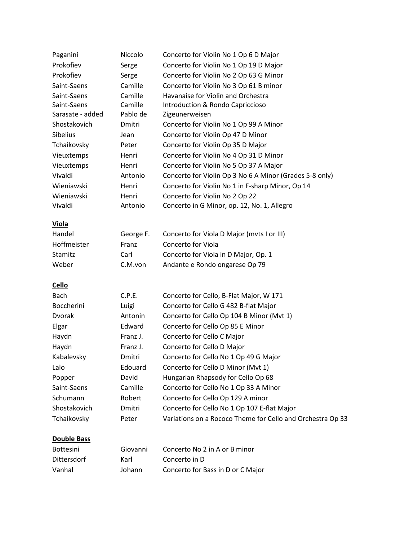| Paganini           | Niccolo   | Concerto for Violin No 1 Op 6 D Major                      |
|--------------------|-----------|------------------------------------------------------------|
| Prokofiev          | Serge     | Concerto for Violin No 1 Op 19 D Major                     |
| Prokofiev          | Serge     | Concerto for Violin No 2 Op 63 G Minor                     |
| Saint-Saens        | Camille   | Concerto for Violin No 3 Op 61 B minor                     |
| Saint-Saens        | Camille   | Havanaise for Violin and Orchestra                         |
| Saint-Saens        | Camille   | Introduction & Rondo Capriccioso                           |
| Sarasate - added   | Pablo de  | Zigeunerweisen                                             |
| Shostakovich       | Dmitri    | Concerto for Violin No 1 Op 99 A Minor                     |
| <b>Sibelius</b>    | Jean      | Concerto for Violin Op 47 D Minor                          |
| Tchaikovsky        | Peter     | Concerto for Violin Op 35 D Major                          |
| Vieuxtemps         | Henri     | Concerto for Violin No 4 Op 31 D Minor                     |
| Vieuxtemps         | Henri     | Concerto for Violin No 5 Op 37 A Major                     |
| Vivaldi            | Antonio   | Concerto for Violin Op 3 No 6 A Minor (Grades 5-8 only)    |
| Wieniawski         | Henri     | Concerto for Violin No 1 in F-sharp Minor, Op 14           |
| Wieniawski         | Henri     | Concerto for Violin No 2 Op 22                             |
| Vivaldi            | Antonio   | Concerto in G Minor, op. 12, No. 1, Allegro                |
| <b>Viola</b>       |           |                                                            |
| Handel             | George F. | Concerto for Viola D Major (mvts I or III)                 |
| Hoffmeister        | Franz     | <b>Concerto for Viola</b>                                  |
| Stamitz            | Carl      | Concerto for Viola in D Major, Op. 1                       |
| Weber              | C.M.von   | Andante e Rondo ongarese Op 79                             |
| Cello              |           |                                                            |
| <b>Bach</b>        | C.P.E.    | Concerto for Cello, B-Flat Major, W 171                    |
| Boccherini         | Luigi     | Concerto for Cello G 482 B-flat Major                      |
| Dvorak             | Antonin   | Concerto for Cello Op 104 B Minor (Mvt 1)                  |
| Elgar              | Edward    | Concerto for Cello Op 85 E Minor                           |
| Haydn              | Franz J.  | Concerto for Cello C Major                                 |
| Haydn              | Franz J.  | Concerto for Cello D Major                                 |
| Kabalevsky         | Dmitri    | Concerto for Cello No 1 Op 49 G Major                      |
| Lalo               | Edouard   | Concerto for Cello D Minor (Mvt 1)                         |
| Popper             | David     | Hungarian Rhapsody for Cello Op 68                         |
| Saint-Saens        | Camille   | Concerto for Cello No 1 Op 33 A Minor                      |
| Schumann           | Robert    | Concerto for Cello Op 129 A minor                          |
| Shostakovich       | Dmitri    | Concerto for Cello No 1 Op 107 E-flat Major                |
| Tchaikovsky        | Peter     | Variations on a Rococo Theme for Cello and Orchestra Op 33 |
| <b>Double Bass</b> |           |                                                            |
| Bottesini          | Giovanni  | Concerto No 2 in A or B minor                              |
| Dittersdorf        | Karl      | Concerto in D                                              |
| Vanhal             | Johann    | Concerto for Bass in D or C Major                          |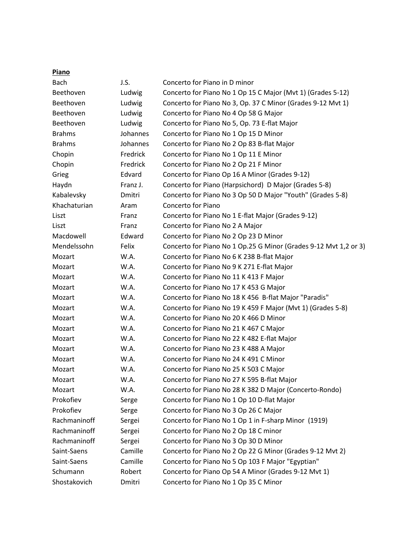## **Piano**

| Bach          | J.S.     | Concerto for Piano in D minor                                    |
|---------------|----------|------------------------------------------------------------------|
| Beethoven     | Ludwig   | Concerto for Piano No 1 Op 15 C Major (Mvt 1) (Grades 5-12)      |
| Beethoven     | Ludwig   | Concerto for Piano No 3, Op. 37 C Minor (Grades 9-12 Mvt 1)      |
| Beethoven     | Ludwig   | Concerto for Piano No 4 Op 58 G Major                            |
| Beethoven     | Ludwig   | Concerto for Piano No 5, Op. 73 E-flat Major                     |
| <b>Brahms</b> | Johannes | Concerto for Piano No 1 Op 15 D Minor                            |
| <b>Brahms</b> | Johannes | Concerto for Piano No 2 Op 83 B-flat Major                       |
| Chopin        | Fredrick | Concerto for Piano No 1 Op 11 E Minor                            |
| Chopin        | Fredrick | Concerto for Piano No 2 Op 21 F Minor                            |
| Grieg         | Edvard   | Concerto for Piano Op 16 A Minor (Grades 9-12)                   |
| Haydn         | Franz J. | Concerto for Piano (Harpsichord) D Major (Grades 5-8)            |
| Kabalevsky    | Dmitri   | Concerto for Piano No 3 Op 50 D Major "Youth" (Grades 5-8)       |
| Khachaturian  | Aram     | <b>Concerto for Piano</b>                                        |
| Liszt         | Franz    | Concerto for Piano No 1 E-flat Major (Grades 9-12)               |
| Liszt         | Franz    | Concerto for Piano No 2 A Major                                  |
| Macdowell     | Edward   | Concerto for Piano No 2 Op 23 D Minor                            |
| Mendelssohn   | Felix    | Concerto for Piano No 1 Op.25 G Minor (Grades 9-12 Mvt 1,2 or 3) |
| Mozart        | W.A.     | Concerto for Piano No 6 K 238 B-flat Major                       |
| Mozart        | W.A.     | Concerto for Piano No 9 K 271 E-flat Major                       |
| Mozart        | W.A.     | Concerto for Piano No 11 K 413 F Major                           |
| Mozart        | W.A.     | Concerto for Piano No 17 K 453 G Major                           |
| Mozart        | W.A.     | Concerto for Piano No 18 K 456 B-flat Major "Paradis"            |
| Mozart        | W.A.     | Concerto for Piano No 19 K 459 F Major (Mvt 1) (Grades 5-8)      |
| Mozart        | W.A.     | Concerto for Piano No 20 K 466 D Minor                           |
| Mozart        | W.A.     | Concerto for Piano No 21 K 467 C Major                           |
| Mozart        | W.A.     | Concerto for Piano No 22 K 482 E-flat Major                      |
| Mozart        | W.A.     | Concerto for Piano No 23 K 488 A Major                           |
| Mozart        | W.A.     | Concerto for Piano No 24 K 491 C Minor                           |
| Mozart        | W.A.     | Concerto for Piano No 25 K 503 C Major                           |
| Mozart        | W.A.     | Concerto for Piano No 27 K 595 B-flat Major                      |
| Mozart        | W.A.     | Concerto for Piano No 28 K 382 D Major (Concerto-Rondo)          |
| Prokofiev     | Serge    | Concerto for Piano No 1 Op 10 D-flat Major                       |
| Prokofiev     | Serge    | Concerto for Piano No 3 Op 26 C Major                            |
| Rachmaninoff  | Sergei   | Concerto for Piano No 1 Op 1 in F-sharp Minor (1919)             |
| Rachmaninoff  | Sergei   | Concerto for Piano No 2 Op 18 C minor                            |
| Rachmaninoff  | Sergei   | Concerto for Piano No 3 Op 30 D Minor                            |
| Saint-Saens   | Camille  | Concerto for Piano No 2 Op 22 G Minor (Grades 9-12 Mvt 2)        |
| Saint-Saens   | Camille  | Concerto for Piano No 5 Op 103 F Major "Egyptian"                |
| Schumann      | Robert   | Concerto for Piano Op 54 A Minor (Grades 9-12 Mvt 1)             |
| Shostakovich  | Dmitri   | Concerto for Piano No 1 Op 35 C Minor                            |